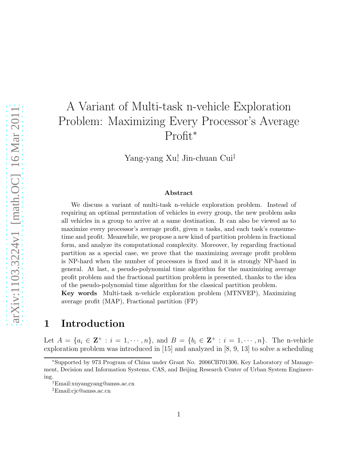# A Variant of Multi-task n-vehicle Exploration Problem: Maximizing Every Processor's Average Profit<sup>∗</sup>

Yang-yang Xu† , Jin-chuan Cui‡

#### Abstract

We discuss a variant of multi-task n-vehicle exploration problem. Instead of requiring an optimal permutation of vehicles in every group, the new problem asks all vehicles in a group to arrive at a same destination. It can also be viewed as to maximize every processor's average profit, given  $n$  tasks, and each task's consumetime and profit. Meanwhile, we propose a new kind of partition problem in fractional form, and analyze its computational complexity. Moreover, by regarding fractional partition as a special case, we prove that the maximizing average profit problem is NP-hard when the number of processors is fixed and it is strongly NP-hard in general. At last, a pseudo-polynomial time algorithm for the maximizing average profit problem and the fractional partition problem is presented, thanks to the idea of the pseudo-polynomial time algorithm for the classical partition problem.

Key words Multi-task n-vehicle exploration problem (MTNVEP), Maximizing average profit (MAP), Fractional partition (FP)

# 1 Introduction

Let  $A = \{a_i \in \mathbb{Z}^+ : i = 1, \dots, n\}$ , and  $B = \{b_i \in \mathbb{Z}^+ : i = 1, \dots, n\}$ . The n-vehicle exploration problem was introduced in [15] and analyzed in [8, 9, 13] to solve a scheduling

<sup>∗</sup>Supported by 973 Program of China under Grant No. 2006CB701306, Key Laboratory of Management, Decision and Information Systems, CAS, and Beijing Research Center of Urban System Engineering.

<sup>†</sup>Email:xuyangyang@amss.ac.cn

<sup>‡</sup>Email:cjc@amss.ac.cn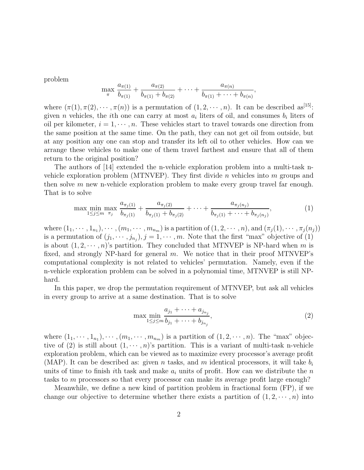problem

$$
\max_{\pi} \frac{a_{\pi(1)}}{b_{\pi(1)}} + \frac{a_{\pi(2)}}{b_{\pi(1)} + b_{\pi(2)}} + \cdots + \frac{a_{\pi(n)}}{b_{\pi(1)} + \cdots + b_{\pi(n)}},
$$

where  $(\pi(1), \pi(2), \cdots, \pi(n))$  is a permutation of  $(1, 2, \cdots, n)$ . It can be described as<sup>[15]</sup>: given *n* vehicles, the *i*th one can carry at most  $a_i$  liters of oil, and consumes  $b_i$  liters of oil per kilometer,  $i = 1, \dots, n$ . These vehicles start to travel towards one direction from the same position at the same time. On the path, they can not get oil from outside, but at any position any one can stop and transfer its left oil to other vehicles. How can we arrange these vehicles to make one of them travel farthest and ensure that all of them return to the original position?

The authors of [14] extended the n-vehicle exploration problem into a multi-task nvehicle exploration problem (MTNVEP). They first divide  $n$  vehicles into  $m$  groups and then solve  $m$  new n-vehicle exploration problem to make every group travel far enough. That is to solve

$$
\max \min_{1 \leq j \leq m} \max_{\pi_j} \frac{a_{\pi_j(1)}}{b_{\pi_j(1)}} + \frac{a_{\pi_j(2)}}{b_{\pi_j(1)} + b_{\pi_j(2)}} + \cdots + \frac{a_{\pi_j(n_j)}}{b_{\pi_j(1)} + \cdots + b_{\pi_j(n_j)}},\tag{1}
$$

where  $(1_1, \dots, 1_{n_1}), \dots, (m_1, \dots, m_{n_m})$  is a partition of  $(1, 2, \dots, n)$ , and  $(\pi_j(1), \dots, \pi_j(n_j))$ is a permutation of  $(j_1, \dots, j_{n_j}), j = 1, \dots, m$ . Note that the first "max" objective of (1) is about  $(1, 2, \dots, n)$ 's partition. They concluded that MTNVEP is NP-hard when m is fixed, and strongly NP-hard for general  $m$ . We notice that in their proof MTNVEP's computational complexity is not related to vehicles' permutation. Namely, even if the n-vehicle exploration problem can be solved in a polynomial time, MTNVEP is still NPhard.

In this paper, we drop the permutation requirement of MTNVEP, but ask all vehicles in every group to arrive at a same destination. That is to solve

$$
\max \min_{1 \le j \le m} \frac{a_{j_1} + \dots + a_{j_{n_j}}}{b_{j_1} + \dots + b_{j_{n_j}}},\tag{2}
$$

where  $(1_1, \dots, 1_{n_1}), \dots, (m_1, \dots, m_{n_m})$  is a partition of  $(1, 2, \dots, n)$ . The "max" objective of (2) is still about  $(1, \dots, n)$ 's partition. This is a variant of multi-task n-vehicle exploration problem, which can be viewed as to maximize every processor's average profit (MAP). It can be described as: given n tasks, and m identical processors, it will take  $b_i$ units of time to finish ith task and make  $a_i$  units of profit. How can we distribute the n tasks to m processors so that every processor can make its average profit large enough?

Meanwhile, we define a new kind of partition problem in fractional form (FP), if we change our objective to determine whether there exists a partition of  $(1, 2, \dots, n)$  into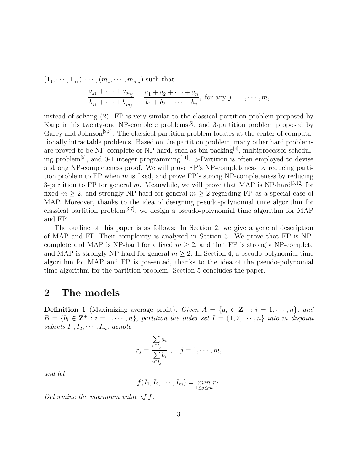$(1_1, \dots, 1_{n_1}), \dots, (m_1, \dots, m_{n_m})$  such that

$$
\frac{a_{j_1} + \dots + a_{j_{n_j}}}{b_{j_1} + \dots + b_{j_{n_j}}} = \frac{a_1 + a_2 + \dots + a_n}{b_1 + b_2 + \dots + b_n}, \text{ for any } j = 1, \dots, m,
$$

instead of solving (2). FP is very similar to the classical partition problem proposed by Karp in his twenty-one NP-complete problems<sup>[6]</sup>, and 3-partition problem proposed by Garey and Johnson<sup>[2,3]</sup>. The classical partition problem locates at the center of computationally intractable problems. Based on the partition problem, many other hard problems are proved to be NP-complete or NP-hard, such as bin packing<sup>[4]</sup>, multiprocessor scheduling problem<sup>[5]</sup>, and 0-1 integer programming<sup>[11]</sup>. 3-Partition is often employed to devise a strong NP-completeness proof. We will prove FP's NP-completeness by reducing partition problem to  $FP$  when m is fixed, and prove  $FP$ 's strong NP-completeness by reducing 3-partition to FP for general m. Meanwhile, we will prove that MAP is NP-hard<sup>[3,12]</sup> for fixed  $m > 2$ , and strongly NP-hard for general  $m > 2$  regarding FP as a special case of MAP. Moreover, thanks to the idea of designing pseudo-polynomial time algorithm for classical partition problem<sup>[3,7]</sup>, we design a pseudo-polynomial time algorithm for MAP and FP.

The outline of this paper is as follows: In Section 2, we give a general description of MAP and FP. Their complexity is analyzed in Section 3. We prove that FP is NPcomplete and MAP is NP-hard for a fixed  $m > 2$ , and that FP is strongly NP-complete and MAP is strongly NP-hard for general  $m \geq 2$ . In Section 4, a pseudo-polynomial time algorithm for MAP and FP is presented, thanks to the idea of the pseudo-polynomial time algorithm for the partition problem. Section 5 concludes the paper.

# 2 The models

**Definition 1** (Maximizing average profit). Given  $A = \{a_i \in \mathbf{Z}^+ : i = 1, \dots, n\}$ , and  $B = \{b_i \in \mathbf{Z}^+ : i = 1, \dots, n\}$ , partition the index set  $I = \{1, 2, \dots, n\}$  into m disjoint subsets  $I_1, I_2, \cdots, I_m$ , denote

$$
r_j = \frac{\sum_{i \in I_j} a_i}{\sum_{i \in I_j} b_i}, \quad j = 1, \cdots, m,
$$

and let

$$
f(I_1, I_2, \cdots, I_m) = \min_{1 \leq j \leq m} r_j.
$$

Determine the maximum value of f.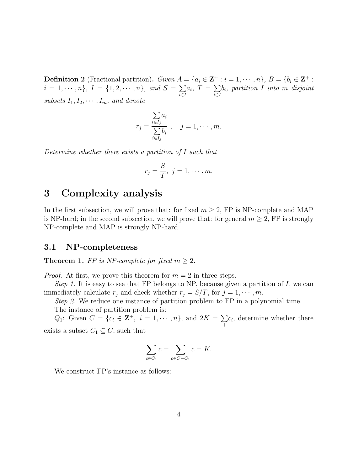**Definition 2** (Fractional partition). Given  $A = \{a_i \in \mathbf{Z}^+ : i = 1, \dots, n\}$ ,  $B = \{b_i \in \mathbf{Z}^+ : i = 1, \dots, n\}$  $i = 1, \dots, n$ ,  $I = \{1, 2, \dots, n\}$ , and  $S = \sum$ i∈I  $a_i, T = \sum$ i∈I  $b_i$ , partition I into m disjoint subsets  $I_1, I_2, \cdots, I_m$ , and denote

$$
r_j = \frac{\sum_{i \in I_j} a_i}{\sum_{i \in I_j} b_i}, \quad j = 1, \cdots, m.
$$

Determine whether there exists a partition of I such that

$$
r_j = \frac{S}{T}, \ j = 1, \cdots, m.
$$

# 3 Complexity analysis

In the first subsection, we will prove that: for fixed  $m \geq 2$ , FP is NP-complete and MAP is NP-hard; in the second subsection, we will prove that: for general  $m \geq 2$ , FP is strongly NP-complete and MAP is strongly NP-hard.

#### 3.1 NP-completeness

**Theorem 1.** FP is NP-complete for fixed  $m \geq 2$ .

*Proof.* At first, we prove this theorem for  $m = 2$  in three steps.

Step 1. It is easy to see that FP belongs to NP, because given a partition of  $I$ , we can immediately calculate  $r_j$  and check whether  $r_j = S/T$ , for  $j = 1, \dots, m$ .

Step 2. We reduce one instance of partition problem to FP in a polynomial time.

The instance of partition problem is:

 $Q_1$ : Given  $C = \{c_i \in \mathbf{Z}^+, i = 1, \dots, n\}$ , and  $2K = \sum$ i  $c_i$ , determine whether there

exists a subset  $C_1 \subseteq C$ , such that

$$
\sum_{c \in C_1} c = \sum_{c \in C - C_1} c = K.
$$

We construct FP's instance as follows: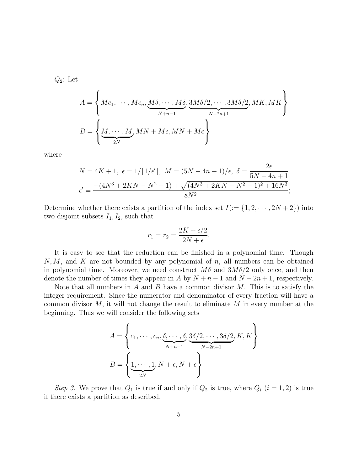$Q_2$ : Let

$$
A = \left\{ Mc_1, \dots, Mc_n, \underbrace{M\delta, \dots, M\delta}_{N+n-1}, \underbrace{3M\delta/2, \dots, 3M\delta/2}_{N-2n+1}, MK, MK \right\}
$$
  

$$
B = \left\{ \underbrace{M, \dots, M}_{2N}, MN + M\epsilon, MN + M\epsilon \right\}
$$

where

$$
N = 4K + 1, \ \epsilon = 1/\lceil 1/\epsilon' \rceil, \ M = (5N - 4n + 1)/\epsilon, \ \delta = \frac{2\epsilon}{5N - 4n + 1}
$$

$$
\epsilon' = \frac{-(4N^3 + 2KN - N^2 - 1) + \sqrt{(4N^3 + 2KN - N^2 - 1)^2 + 16N^3}}{8N^2};
$$

Determine whether there exists a partition of the index set  $I(:= \{1, 2, \dots, 2N + 2\})$  into two disjoint subsets  $I_1, I_2$ , such that

$$
r_1 = r_2 = \frac{2K + \epsilon/2}{2N + \epsilon}.
$$

It is easy to see that the reduction can be finished in a polynomial time. Though  $N, M$ , and K are not bounded by any polynomial of n, all numbers can be obtained in polynomial time. Moreover, we need construct  $M\delta$  and  $3M\delta/2$  only once, and then denote the number of times they appear in A by  $N + n - 1$  and  $N - 2n + 1$ , respectively.

Note that all numbers in  $A$  and  $B$  have a common divisor  $M$ . This is to satisfy the integer requirement. Since the numerator and denominator of every fraction will have a common divisor  $M$ , it will not change the result to eliminate  $M$  in every number at the beginning. Thus we will consider the following sets

$$
A = \left\{c_1, \dots, c_n, \underbrace{\delta, \dots, \delta}_{N+n-1}, \underbrace{3\delta/2, \dots, 3\delta/2}_{N-2n+1}, K, K\right\}
$$

$$
B = \left\{\underbrace{1, \dots, 1}_{2N}, N + \epsilon, N + \epsilon\right\}
$$

Step 3. We prove that  $Q_1$  is true if and only if  $Q_2$  is true, where  $Q_i$   $(i = 1, 2)$  is true if there exists a partition as described.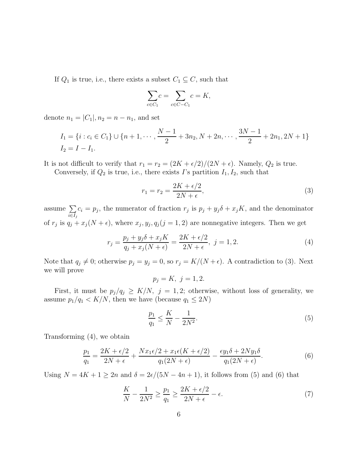If  $Q_1$  is true, i.e., there exists a subset  $C_1 \subseteq C$ , such that

$$
\sum_{c \in C_1} c = \sum_{c \in C - C_1} c = K,
$$

denote  $n_1 = |C_1|, n_2 = n - n_1$ , and set

$$
I_1 = \{i : c_i \in C_1\} \cup \{n+1, \cdots, \frac{N-1}{2} + 3n_2, N+2n, \cdots, \frac{3N-1}{2} + 2n_1, 2N+1\}
$$
  

$$
I_2 = I - I_1.
$$

It is not difficult to verify that  $r_1 = r_2 = \frac{2K + \epsilon}{2}/\frac{2N + \epsilon}{\ldots}$ . Namely,  $Q_2$  is true.

Conversely, if  $Q_2$  is true, i.e., there exists I's partition  $I_1, I_2$ , such that

$$
r_1 = r_2 = \frac{2K + \epsilon/2}{2N + \epsilon},\tag{3}
$$

assume  $\sum$  $i \in I_j$  $c_i = p_j$ , the numerator of fraction  $r_j$  is  $p_j + y_j \delta + x_j K$ , and the denominator of  $r_j$  is  $q_j + x_j(N + \epsilon)$ , where  $x_j, y_j, q_j(j = 1, 2)$  are nonnegative integers. Then we get

$$
r_j = \frac{p_j + y_j \delta + x_j K}{q_j + x_j (N + \epsilon)} = \frac{2K + \epsilon/2}{2N + \epsilon}, \ j = 1, 2.
$$
 (4)

Note that  $q_j \neq 0$ ; otherwise  $p_j = y_j = 0$ , so  $r_j = K/(N + \epsilon)$ . A contradiction to (3). Next we will prove

 $p_i = K$ ,  $j = 1, 2$ .

First, it must be  $p_j/q_j \geq K/N$ ,  $j = 1, 2$ ; otherwise, without loss of generality, we assume  $p_1/q_1 < K/N$ , then we have (because  $q_1 \leq 2N$ )

$$
\frac{p_1}{q_1} \le \frac{K}{N} - \frac{1}{2N^2}.\tag{5}
$$

Transforming (4), we obtain

$$
\frac{p_1}{q_1} = \frac{2K + \epsilon/2}{2N + \epsilon} + \frac{Nx_1\epsilon/2 + x_1\epsilon(K + \epsilon/2)}{q_1(2N + \epsilon)} - \frac{\epsilon y_1\delta + 2Ny_1\delta}{q_1(2N + \epsilon)}.
$$
(6)

Using  $N = 4K + 1 \geq 2n$  and  $\delta = 2\epsilon/(5N - 4n + 1)$ , it follows from (5) and (6) that

$$
\frac{K}{N} - \frac{1}{2N^2} \ge \frac{p_1}{q_1} \ge \frac{2K + \epsilon/2}{2N + \epsilon} - \epsilon.
$$
\n<sup>(7)</sup>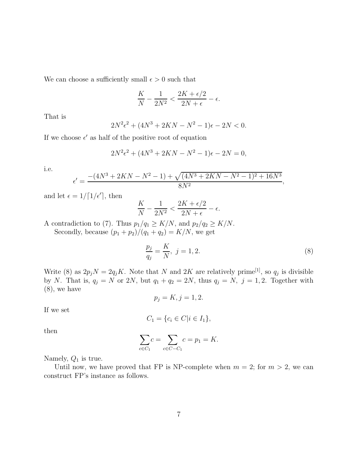We can choose a sufficiently small  $\epsilon > 0$  such that

$$
\frac{K}{N} - \frac{1}{2N^2} < \frac{2K + \epsilon/2}{2N + \epsilon} - \epsilon.
$$

That is

$$
2N^2\epsilon^2 + (4N^3 + 2KN - N^2 - 1)\epsilon - 2N < 0.
$$

If we choose  $\epsilon'$  as half of the positive root of equation

$$
2N^2\epsilon^2 + (4N^3 + 2KN - N^2 - 1)\epsilon - 2N = 0,
$$

i.e.

$$
\epsilon' = \frac{-(4N^3+2KN-N^2-1)+\sqrt{(4N^3+2KN-N^2-1)^2+16N^3}}{8N^2},
$$

and let  $\epsilon = 1/\lceil 1/\epsilon' \rceil$ , then

$$
\frac{K}{N} - \frac{1}{2N^2} < \frac{2K + \epsilon/2}{2N + \epsilon} - \epsilon.
$$

A contradiction to (7). Thus  $p_1/q_1 \geq K/N$ , and  $p_2/q_2 \geq K/N$ . Secondly, because  $(p_1 + p_2)/(q_1 + q_2) = K/N$ , we get

$$
\frac{p_j}{q_j} = \frac{K}{N}, \ j = 1, 2.
$$
 (8)

Write (8) as  $2p_jN = 2q_jK$ . Note that N and 2K are relatively prime<sup>[1]</sup>, so  $q_j$  is divisible by N. That is,  $q_j = N$  or 2N, but  $q_1 + q_2 = 2N$ , thus  $q_j = N$ ,  $j = 1, 2$ . Together with (8), we have

$$
p_j = K, j = 1, 2.
$$

If we set

$$
C_1 = \{c_i \in C | i \in I_1\},\
$$

then

$$
\sum_{c \in C_1} c = \sum_{c \in C - C_1} c = p_1 = K.
$$

Namely,  $Q_1$  is true.

Until now, we have proved that FP is NP-complete when  $m = 2$ ; for  $m > 2$ , we can construct FP's instance as follows.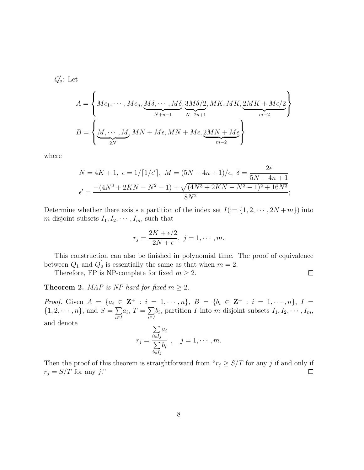$Q_2^{\prime}$  $i<sub>2</sub>$ : Let

$$
A = \left\{ Mc_1, \dots, Mc_n, \underbrace{M\delta, \dots, M\delta}_{N+n-1}, \underbrace{3M\delta/2}_{N-2n+1}, MK, MK, \underbrace{2MK + M\epsilon/2}_{m-2} \right\}
$$
  

$$
B = \left\{ \underbrace{M, \dots, M}_{2N}, MN + M\epsilon, MN + M\epsilon, \underbrace{2MN + M\epsilon}_{m-2} \right\}
$$

where

$$
N = 4K + 1, \ \epsilon = 1/\lceil 1/\epsilon' \rceil, \ M = (5N - 4n + 1)/\epsilon, \ \delta = \frac{2\epsilon}{5N - 4n + 1}
$$

$$
\epsilon' = \frac{-(4N^3 + 2KN - N^2 - 1) + \sqrt{(4N^3 + 2KN - N^2 - 1)^2 + 16N^3}}{8N^2};
$$

Determine whether there exists a partition of the index set  $I(:= \{1, 2, \dots, 2N + m\})$  into m disjoint subsets  $I_1, I_2, \cdots, I_m$ , such that

$$
r_j = \frac{2K + \epsilon/2}{2N + \epsilon}, \ j = 1, \cdots, m.
$$

This construction can also be finished in polynomial time. The proof of equivalence between  $Q_1$  and  $Q'_2$  $y_2$  is essentially the same as that when  $m = 2$ .

 $\Box$ 

Therefore, FP is NP-complete for fixed  $m \geq 2$ .

**Theorem 2.** MAP is NP-hard for fixed  $m \geq 2$ .

*Proof.* Given  $A = \{a_i \in \mathbf{Z}^+ : i = 1, \dots, n\}, B = \{b_i \in \mathbf{Z}^+ : i = 1, \dots, n\}, I =$  $\{1, 2, \cdots, n\}, \text{ and } S = \sum$ i∈I  $a_i, T = \sum$ i∈I  $b_i$ , partition I into m disjoint subsets  $I_1, I_2, \cdots, I_m$ , and denote

$$
r_j = \frac{\sum_{i \in I_j} a_i}{\sum_{i \in I_j} b_i}, \quad j = 1, \cdots, m.
$$

Then the proof of this theorem is straightforward from " $r_j \geq S/T$  for any j if and only if  $r_j = S/T$  for any j."  $\Box$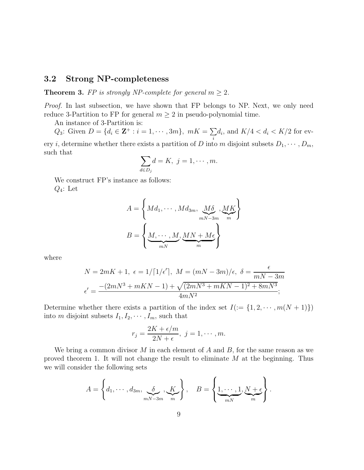#### 3.2 Strong NP-completeness

**Theorem 3.** FP is strongly NP-complete for general  $m \geq 2$ .

Proof. In last subsection, we have shown that FP belongs to NP. Next, we only need reduce 3-Partition to FP for general  $m \geq 2$  in pseudo-polynomial time.

An instance of 3-Partition is:

 $Q_3$ : Given  $D = \{d_i \in \mathbf{Z}^+ : i = 1, \cdots, 3m\}, mK = \sum$ i  $d_i$ , and  $K/4 < d_i < K/2$  for every *i*, determine whether there exists a partition of D into m disjoint subsets  $D_1, \dots, D_m$ , such that

$$
\sum_{d \in D_j} d = K, \ j = 1, \cdots, m.
$$

We construct FP's instance as follows:  $Q_4$ : Let

$$
A = \left\{ Md_1, \cdots, Md_{3m}, \underbrace{M\delta}_{mN-3m}, \underbrace{MK}_{m} \right\}
$$

$$
B = \left\{ \underbrace{M, \cdots, M}_{mN}, \underbrace{MN + M\epsilon}_{m} \right\}
$$

where

$$
N = 2mK + 1, \ \epsilon = 1/\lceil 1/\epsilon' \rceil, \ M = (mN - 3m)/\epsilon, \ \delta = \frac{\epsilon}{mN - 3m}
$$

$$
\epsilon' = \frac{-(2mN^3 + mKN - 1) + \sqrt{(2mN^3 + mKN - 1)^2 + 8mN^3}}{4mN^2};
$$

Determine whether there exists a partition of the index set  $I(:= \{1, 2, \cdots, m(N + 1)\})$ into m disjoint subsets  $I_1, I_2, \cdots, I_m$ , such that

$$
r_j = \frac{2K + \epsilon/m}{2N + \epsilon}, \ j = 1, \cdots, m.
$$

We bring a common divisor M in each element of A and  $B$ , for the same reason as we proved theorem 1. It will not change the result to eliminate M at the beginning. Thus we will consider the following sets

$$
A = \left\{d_1, \cdots, d_{3m}, \underbrace{\delta}_{mN-3m}, \underbrace{K}_{m}\right\}, \quad B = \left\{\underbrace{1, \cdots, 1}_{mN}, \underbrace{N+\epsilon}_{m}\right\}.
$$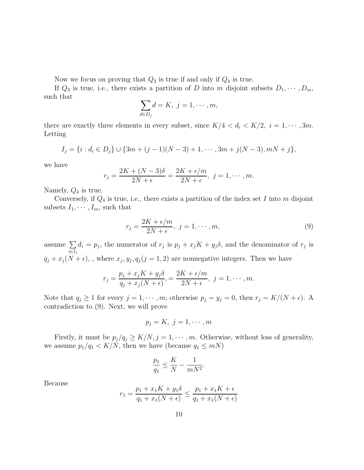Now we focus on proving that  $Q_3$  is true if and only if  $Q_4$  is true.

If  $Q_3$  is true, i.e., there exists a partition of D into m disjoint subsets  $D_1, \dots, D_m$ , such that

$$
\sum_{d \in D_j} d = K, \ j = 1, \cdots, m,
$$

there are exactly three elements in every subset, since  $K/4 < d_i < K/2$ ,  $i = 1, \dots, 3m$ . Letting

$$
I_j = \{i : d_i \in D_j\} \cup \{3m + (j-1)(N-3) + 1, \cdots, 3m + j(N-3), mN + j\},\
$$

we have

$$
r_j = \frac{2K + (N-3)\delta}{2N + \epsilon} = \frac{2K + \epsilon/m}{2N + \epsilon}, \ j = 1, \cdots, m.
$$

Namely,  $Q_4$  is true.

Conversely, if  $Q_4$  is true, i.e., there exists a partition of the index set I into m disjoint subsets  $I_1, \cdots, I_m$ , such that

$$
r_j = \frac{2K + \epsilon/m}{2N + \epsilon}, \ j = 1, \cdots, m,
$$
\n<sup>(9)</sup>

assume  $\sum$  $i \in I_j$  $d_i = p_j$ , the numerator of  $r_j$  is  $p_j + x_j K + y_j \delta$ , and the denominator of  $r_j$  is  $q_j + x_j(N + \epsilon)$ , where  $x_j, y_j, q_j (j = 1, 2)$  are nonnegative integers. Then we have

$$
r_j = \frac{p_j + x_j K + y_j \delta}{q_j + x_j (N + \epsilon)}, = \frac{2K + \epsilon/m}{2N + \epsilon}, \ j = 1, \cdots, m.
$$

Note that  $q_j \ge 1$  for every  $j = 1, \dots, m$ ; otherwise  $p_j = y_j = 0$ , then  $r_j = K/(N + \epsilon)$ . A contradiction to (9). Next, we will prove

$$
p_j = K, \ j = 1, \cdots, m
$$

Firstly, it must be  $p_j/q_j \geq K/N$ ,  $j = 1, \dots, m$ . Otherwise, without loss of generality, we assume  $p_1/q_1 < K/N$ , then we have (because  $q_1 \leq mN$ )

$$
\frac{p_1}{q_1} \le \frac{K}{N} - \frac{1}{mN^2}.
$$

Because

$$
r_1 = \frac{p_1 + x_1 K + y_1 \delta}{q_1 + x_1 (N + \epsilon)} \le \frac{p_1 + x_1 K + \epsilon}{q_1 + x_1 (N + \epsilon)}
$$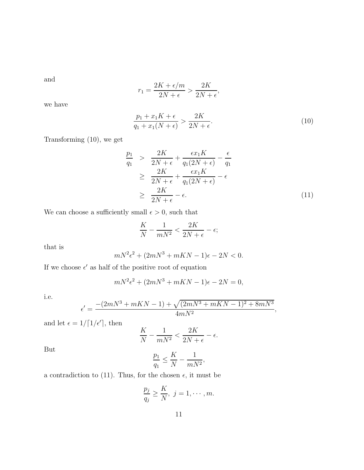and

$$
r_1 = \frac{2K + \epsilon/m}{2N + \epsilon} > \frac{2K}{2N + \epsilon},
$$

we have

$$
\frac{p_1 + x_1 K + \epsilon}{q_1 + x_1 (N + \epsilon)} > \frac{2K}{2N + \epsilon}.
$$
\n
$$
(10)
$$

Transforming (10), we get

$$
\frac{p_1}{q_1} > \frac{2K}{2N + \epsilon} + \frac{\epsilon x_1 K}{q_1 (2N + \epsilon)} - \frac{\epsilon}{q_1}
$$
\n
$$
\geq \frac{2K}{2N + \epsilon} + \frac{\epsilon x_1 K}{q_1 (2N + \epsilon)} - \epsilon
$$
\n
$$
\geq \frac{2K}{2N + \epsilon} - \epsilon.
$$
\n(11)

We can choose a sufficiently small  $\epsilon>0,$  such that

$$
\frac{K}{N} - \frac{1}{mN^2} < \frac{2K}{2N + \epsilon} - \epsilon;
$$

that is

$$
mN^{2}\epsilon^{2} + (2mN^{3} + mKN - 1)\epsilon - 2N < 0.
$$

If we choose  $\epsilon'$  as half of the positive root of equation

$$
mN^2\epsilon^2 + (2mN^3 + mKN - 1)\epsilon - 2N = 0,
$$

i.e.

$$
\epsilon' = \frac{-(2mN^3 + mKN - 1) + \sqrt{(2mN^3 + mKN - 1)^2 + 8mN^3}}{4mN^2},
$$

and let  $\epsilon = 1/\lceil 1/\epsilon' \rceil$ , then

$$
\frac{K}{N} - \frac{1}{mN^2} < \frac{2K}{2N + \epsilon} - \epsilon.
$$

But

$$
\frac{p_1}{q_1}\leq \frac{K}{N}-\frac{1}{mN^2},
$$

a contradiction to (11). Thus, for the chosen  $\epsilon,$  it must be

$$
\frac{p_j}{q_j} \ge \frac{K}{N}, \ j = 1, \cdots, m.
$$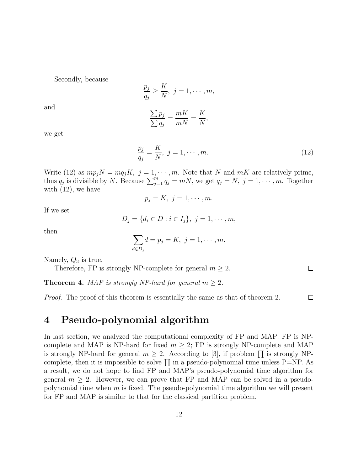Secondly, because

$$
\frac{p_j}{q_j} \ge \frac{K}{N}, \ j = 1, \cdots, m,
$$

$$
\sum p_j \qquad mK \qquad K
$$

and

$$
\frac{\sum p_j}{\sum q_j} = \frac{mK}{mN} = \frac{K}{N},
$$

we get

$$
\frac{p_j}{q_j} = \frac{K}{N}, \ j = 1, \cdots, m. \tag{12}
$$

 $\Box$ 

 $\Box$ 

Write (12) as  $mp_jN = mq_jK$ ,  $j = 1, \dots, m$ . Note that N and  $mK$  are relatively prime, thus  $q_j$  is divisible by N. Because  $\sum_{j=1}^m q_j = mN$ , we get  $q_j = N$ ,  $j = 1, \dots, m$ . Together with  $(12)$ , we have

$$
p_j = K, \ j = 1, \cdots, m.
$$

If we set

$$
D_j = \{d_i \in D : i \in I_j\}, \ j = 1, \cdots, m,
$$

then

$$
\sum_{d \in D_j} d = p_j = K, \ j = 1, \cdots, m.
$$

Namely,  $Q_3$  is true.

Therefore, FP is strongly NP-complete for general  $m \geq 2$ .

**Theorem 4.** MAP is strongly NP-hard for general  $m \geq 2$ .

Proof. The proof of this theorem is essentially the same as that of theorem 2.

# 4 Pseudo-polynomial algorithm

In last section, we analyzed the computational complexity of FP and MAP: FP is NPcomplete and MAP is NP-hard for fixed  $m \geq 2$ ; FP is strongly NP-complete and MAP is strongly NP-hard for general  $m \geq 2$ . According to [3], if problem  $\prod$  is strongly NPcomplete, then it is impossible to solve  $\prod$  in a pseudo-polynomial time unless P=NP. As a result, we do not hope to find FP and MAP's pseudo-polynomial time algorithm for general  $m \geq 2$ . However, we can prove that FP and MAP can be solved in a pseudopolynomial time when  $m$  is fixed. The pseudo-polynomial time algorithm we will present for FP and MAP is similar to that for the classical partition problem.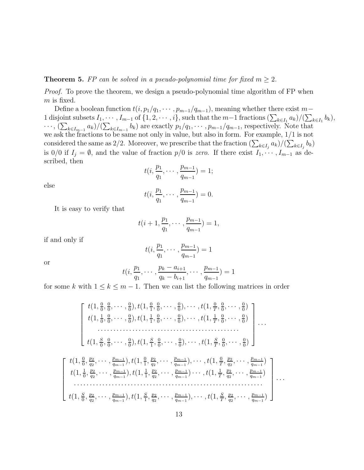#### **Theorem 5.** FP can be solved in a pseudo-polynomial time for fixed  $m \geq 2$ .

Proof. To prove the theorem, we design a pseudo-polynomial time algorithm of FP when m is fixed.

Define a boolean function  $t(i, p_1/q_1, \cdots, p_{m-1}/q_{m-1})$ , meaning whether there exist m – 1 disjoint subsets  $I_1, \dots, I_{m-1}$  of  $\{1, 2, \dots, i\}$ , such that the  $m-1$  fractions  $(\sum_{k \in I_1} a_k)/(\sum_{k \in I_1} b_k)$ ,  $\cdots$ ,  $(\sum_{k\in I_{m-1}} a_k)/(\sum_{k\in I_{m-1}} b_k)$  are exactly  $p_1/q_1, \cdots, p_{m-1}/q_{m-1}$ , respectively. Note that we ask the fractions to be same not only in value, but also in form. For example, 1/1 is not considered the same as 2/2. Moreover, we prescribe that the fraction  $(\sum_{k\in I_j} a_k)/(\sum_{k\in I_j} b_k)$ is 0/0 if  $I_j = \emptyset$ , and the value of fraction  $p/0$  is zero. If there exist  $I_1, \dots, I_{m-1}$  as described, then

$$
t(i, \frac{p_1}{q_1}, \cdots, \frac{p_{m-1}}{q_{m-1}}) = 1;
$$

else

$$
t(i, \frac{p_1}{q_1}, \cdots, \frac{p_{m-1}}{q_{m-1}}) = 0.
$$

It is easy to verify that

$$
t(i+1,\frac{p_1}{q_1},\cdots,\frac{p_{m-1}}{q_{m-1}})=1,
$$

if and only if

$$
t(i, \frac{p_1}{q_1}, \cdots, \frac{p_{m-1}}{q_{m-1}}) = 1
$$

or

$$
t(i, \frac{p_1}{q_1}, \cdots, \frac{p_k - a_{i+1}}{q_k - b_{i+1}}, \cdots, \frac{p_{m-1}}{q_{m-1}}) = 1
$$

for some k with  $1 \leq k \leq m-1$ . Then we can list the following matrices in order

$$
\begin{bmatrix}\nt(1, \frac{0}{0}, \frac{0}{0}, \cdots, \frac{0}{0}), t(1, \frac{0}{1}, \frac{0}{0}, \cdots, \frac{0}{0}), \cdots, t(1, \frac{0}{T}, \frac{0}{0}, \cdots, \frac{0}{0}) \\
t(1, \frac{1}{0}, \frac{0}{0}, \cdots, \frac{0}{0}), t(1, \frac{1}{1}, \frac{0}{0}, \cdots, \frac{0}{0}), \cdots, t(1, \frac{1}{T}, \frac{0}{0}, \cdots, \frac{0}{0}) \\
\vdots \\
t(1, \frac{S}{0}, \frac{0}{0}, \cdots, \frac{0}{0}), t(1, \frac{S}{1}, \frac{0}{0}, \cdots, \frac{0}{0}), \cdots, t(1, \frac{S}{T}, \frac{0}{0}, \cdots, \frac{0}{0})\n\end{bmatrix} \dots
$$
\n
$$
\begin{bmatrix}\nt(1, \frac{0}{0}, \frac{p_2}{q_2}, \cdots, \frac{p_{m-1}}{q_{m-1}}), t(1, \frac{0}{1}, \frac{p_2}{q_2}, \cdots, \frac{p_{m-1}}{q_{m-1}}), \cdots, t(1, \frac{0}{T}, \frac{p_2}{q_2}, \cdots, \frac{p_{m-1}}{q_{m-1}})\n\end{bmatrix}
$$
\n
$$
t(1, \frac{S}{0}, \frac{p_2}{q_2}, \cdots, \frac{p_{m-1}}{q_{m-1}}), t(1, \frac{1}{1}, \frac{p_2}{q_2}, \cdots, \frac{p_{m-1}}{q_{m-1}}) \cdots, t(1, \frac{1}{T}, \frac{p_2}{q_2}, \cdots, \frac{p_{m-1}}{q_{m-1}})\n\end{bmatrix} \dots
$$
\n
$$
t(1, \frac{S}{0}, \frac{p_2}{q_2}, \cdots, \frac{p_{m-1}}{q_{m-1}}), t(1, \frac{S}{1}, \frac{p_2}{q_2}, \cdots, \frac{p_{m-1}}{q_{m-1}}), \cdots, t(1, \frac{S}{T}, \frac{p_2}{q_2}, \cdots, \frac{p_{m-1}}{q_{m-1}})
$$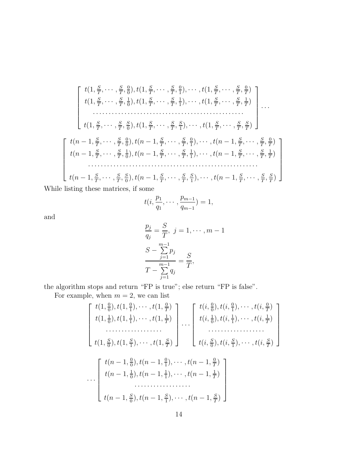$$
\begin{bmatrix}\nt(1, \frac{S}{T}, \cdots, \frac{S}{T}, \frac{0}{0}), t(1, \frac{S}{T}, \cdots, \frac{S}{T}, \frac{0}{1}), \cdots, t(1, \frac{S}{T}, \cdots, \frac{S}{T}, \frac{0}{T}) \\
t(1, \frac{S}{T}, \cdots, \frac{S}{T}, \frac{1}{0}), t(1, \frac{S}{T}, \cdots, \frac{S}{T}, \frac{1}{1}), \cdots, t(1, \frac{S}{T}, \cdots, \frac{S}{T}, \frac{1}{T}) \\
\vdots \\
 t(1, \frac{S}{T}, \cdots, \frac{S}{T}, \frac{S}{0}), t(1, \frac{S}{T}, \cdots, \frac{S}{T}, \frac{S}{1}), \cdots, t(1, \frac{S}{T}, \cdots, \frac{S}{T}, \frac{S}{T})\n\end{bmatrix}
$$
\n
$$
\begin{bmatrix}\nt(n-1, \frac{S}{T}, \cdots, \frac{S}{T}, \frac{0}{0}), t(n-1, \frac{S}{T}, \cdots, \frac{S}{T}, \frac{0}{1}), \cdots, t(n-1, \frac{S}{T}, \cdots, \frac{S}{T}, \frac{0}{T}) \\
t(n-1, \frac{S}{T}, \cdots, \frac{S}{T}, \frac{1}{0}), t(n-1, \frac{S}{T}, \cdots, \frac{S}{T}, \frac{1}{1}), \cdots, t(n-1, \frac{S}{T}, \cdots, \frac{S}{T}, \frac{1}{T})\n\end{bmatrix}
$$
\n
$$
t(n-1, \frac{S}{T}, \cdots, \frac{S}{T}, \frac{S}{0}), t(n-1, \frac{S}{T}, \cdots, \frac{S}{T}, \frac{S}{1}), \cdots, t(n-1, \frac{S}{T}, \cdots, \frac{S}{T}, \frac{S}{T})
$$
\n
$$
\begin{bmatrix}\nt(n-1, \frac{S}{T}, \cdots, \frac{S}{T}, \frac{S}{0}), t(n-1, \frac{S}{T}, \cdots, \frac{S}{T}, \frac{S}{1}), \cdots, t(n-1, \frac{S}{T}, \cdots, \frac{S}{T}, \frac{S}{T})\n\end{bmatrix}
$$

While listing these matrices, if some

$$
t(i, \frac{p_1}{q_1}, \cdots, \frac{p_{m-1}}{q_{m-1}}) = 1,
$$

and

$$
\frac{p_j}{q_j} = \frac{S}{T}, \ j = 1, \dots, m - 1
$$
  

$$
\frac{S - \sum_{j=1}^{m-1} p_j}{T - \sum_{j=1}^{m-1} q_j} = \frac{S}{T},
$$

the algorithm stops and return "FP is true"; else return "FP is false".

For example, when  $m = 2$ , we can list

$$
\begin{bmatrix}\nt(1, \frac{0}{0}), t(1, \frac{0}{1}), \cdots, t(1, \frac{0}{T}) \\
t(1, \frac{1}{0}), t(1, \frac{1}{1}), \cdots, t(1, \frac{1}{T}) \\
\vdots \\
t(1, \frac{S}{0}), t(1, \frac{S}{1}), \cdots, t(1, \frac{S}{T})\n\end{bmatrix}\n\dots\n\begin{bmatrix}\nt(i, \frac{0}{0}), t(i, \frac{0}{1}), \cdots, t(i, \frac{0}{T}) \\
t(i, \frac{1}{0}), t(i, \frac{1}{1}), \cdots, t(i, \frac{1}{T}) \\
\vdots \\
t(i, \frac{S}{0}), t(i, \frac{S}{1}), \cdots, t(i, \frac{S}{T})\n\end{bmatrix}
$$
\n
$$
\dots\n\begin{bmatrix}\nt(n-1, \frac{0}{0}), t(n-1, \frac{0}{1}), \cdots, t(n-1, \frac{0}{T}) \\
t(n-1, \frac{1}{0}), t(n-1, \frac{1}{1}), \cdots, t(n-1, \frac{1}{T}) \\
\vdots \\
t(n-1, \frac{S}{0}), t(n-1, \frac{S}{1}), \cdots, t(n-1, \frac{S}{T})\n\end{bmatrix}
$$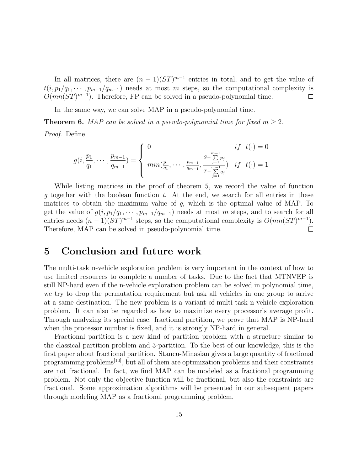In all matrices, there are  $(n-1)(ST)^{m-1}$  entries in total, and to get the value of  $t(i, p_1/q_1, \dots, p_{m-1}/q_{m-1})$  needs at most m steps, so the computational complexity is  $O(mn(ST)^{m-1})$ . Therefore, FP can be solved in a pseudo-polynomial time.  $\Box$ 

In the same way, we can solve MAP in a pseudo-polynomial time.

**Theorem 6.** MAP can be solved in a pseudo-polynomial time for fixed  $m > 2$ .

Proof. Define

$$
g(i, \frac{p_1}{q_1}, \dots, \frac{p_{m-1}}{q_{m-1}}) = \begin{cases} 0 & if \ t(\cdot) = 0\\ \min(\frac{p_1}{q_1}, \dots, \frac{p_{m-1}}{q_{m-1}}, \frac{S - \sum\limits_{j=1}^{m-1} p_j}{T - \sum\limits_{j=1}^{m-1} q_j} & if \ t(\cdot) = 1 \end{cases}
$$

While listing matrices in the proof of theorem 5, we record the value of function g together with the boolean function t. At the end, we search for all entries in these matrices to obtain the maximum value of  $g$ , which is the optimal value of MAP. To get the value of  $g(i, p_1/q_1, \cdots, p_{m-1}/q_{m-1})$  needs at most m steps, and to search for all entries needs  $(n-1)(ST)^{m-1}$  steps, so the computational complexity is  $O(mn(ST)^{m-1})$ .  $\Box$ Therefore, MAP can be solved in pseudo-polynomial time.

### 5 Conclusion and future work

The multi-task n-vehicle exploration problem is very important in the context of how to use limited resources to complete a number of tasks. Due to the fact that MTNVEP is still NP-hard even if the n-vehicle exploration problem can be solved in polynomial time, we try to drop the permutation requirement but ask all vehicles in one group to arrive at a same destination. The new problem is a variant of multi-task n-vehicle exploration problem. It can also be regarded as how to maximize every processor's average profit. Through analyzing its special case: fractional partition, we prove that MAP is NP-hard when the processor number is fixed, and it is strongly NP-hard in general.

Fractional partition is a new kind of partition problem with a structure similar to the classical partition problem and 3-partition. To the best of our knowledge, this is the first paper about fractional partition. Stancu-Minasian gives a large quantity of fractional programming problems[10], but all of them are optimization problems and their constraints are not fractional. In fact, we find MAP can be modeled as a fractional programming problem. Not only the objective function will be fractional, but also the constraints are fractional. Some approximation algorithms will be presented in our subsequent papers through modeling MAP as a fractional programming problem.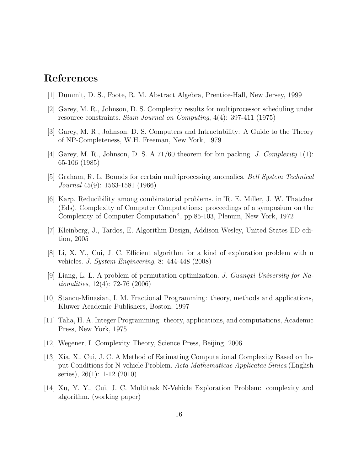# References

- [1] Dummit, D. S., Foote, R. M. Abstract Algebra, Prentice-Hall, New Jersey, 1999
- [2] Garey, M. R., Johnson, D. S. Complexity results for multiprocessor scheduling under resource constraints. Siam Journal on Computing, 4(4): 397-411 (1975)
- [3] Garey, M. R., Johnson, D. S. Computers and Intractability: A Guide to the Theory of NP-Completeness, W.H. Freeman, New York, 1979
- [4] Garey, M. R., Johnson, D. S. A  $71/60$  theorem for bin packing. *J. Complexity*  $1(1)$ : 65-106 (1985)
- [5] Graham, R. L. Bounds for certain multiprocessing anomalies. Bell System Technical Journal 45(9): 1563-1581 (1966)
- [6] Karp. Reducibility among combinatorial problems. in"R. E. Miller, J. W. Thatcher (Eds), Complexity of Computer Computations: proceedings of a symposium on the Complexity of Computer Computation", pp.85-103, Plenum, New York, 1972
- [7] Kleinberg, J., Tardos, E. Algorithm Design, Addison Wesley, United States ED edition, 2005
- [8] Li, X. Y., Cui, J. C. Efficient algorithm for a kind of exploration problem with n vehicles. J. System Engineering, 8: 444-448 (2008)
- [9] Liang, L. L. A problem of permutation optimization. J. Guangxi University for Nationalities, 12(4): 72-76 (2006)
- [10] Stancu-Minasian, I. M. Fractional Programming: theory, methods and applications, Kluwer Academic Publishers, Boston, 1997
- [11] Taha, H. A. Integer Programming: theory, applications, and computations, Academic Press, New York, 1975
- [12] Wegener, I. Complexity Theory, Science Press, Beijing, 2006
- [13] Xia, X., Cui, J. C. A Method of Estimating Computational Complexity Based on Input Conditions for N-vehicle Problem. Acta Mathematicae Applicatae Sinica (English series), 26(1): 1-12 (2010)
- [14] Xu, Y. Y., Cui, J. C. Multitask N-Vehicle Exploration Problem: complexity and algorithm. (working paper)